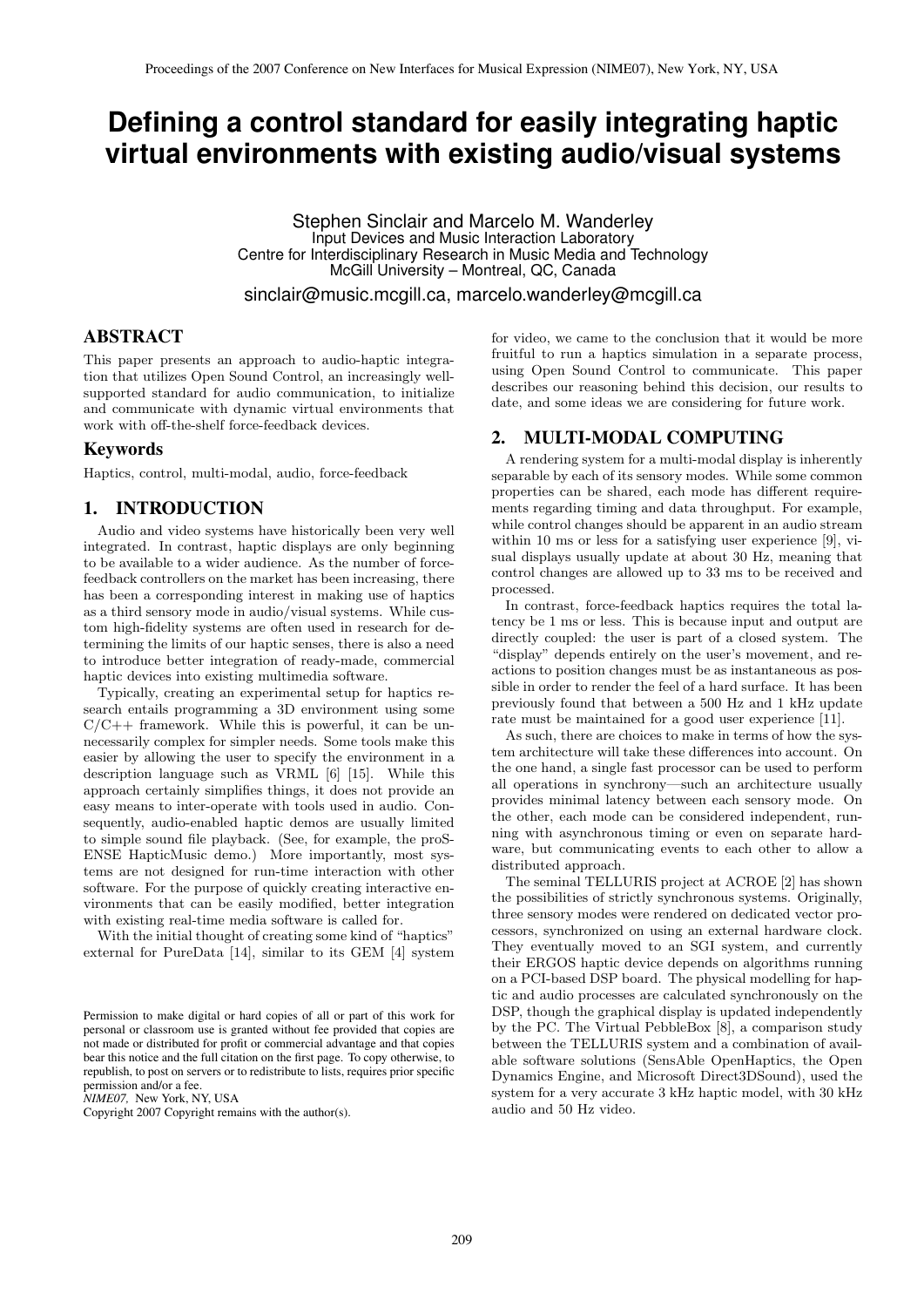# **Defining a control standard for easily integrating haptic virtual environments with existing audio/visual systems**

Stephen Sinclair and Marcelo M. Wanderley Input Devices and Music Interaction Laboratory Centre for Interdisciplinary Research in Music Media and Technology McGill University - Montreal, QC, Canada

sinclair@music.mcgill.ca, marcelo.wanderley@mcgill.ca

# **ABSTRACT**

This paper presents an approach to audio-haptic integration that utilizes Open Sound Control, an increasingly wellsupported standard for audio communication, to initialize and communicate with dynamic virtual environments that work with off-the-shelf force-feedback devices.

## Keywords

Haptics, control, multi-modal, audio, force-feedback

## 1. INTRODUCTION

Audio and video systems have historically been very well integrated. In contrast, haptic displays are only beginning to be available to a wider audience. As the number of forcefeedback controllers on the market has been increasing, there has been a corresponding interest in making use of haptics as a third sensory mode in audio/visual systems. While custom high-fidelity systems are often used in research for determining the limits of our haptic senses, there is also a need to introduce better integration of ready-made, commercial haptic devices into existing multimedia software.

Typically, creating an experimental setup for haptics research entails programming a 3D environment using some  $C/C++$  framework. While this is powerful, it can be unnecessarily complex for simpler needs. Some tools make this easier by allowing the user to specify the environment in a description language such as VRML [6] [15]. While this approach certainly simplifies things, it does not provide an easy means to inter-operate with tools used in audio. Consequently, audio-enabled haptic demos are usually limited to simple sound file playback. (See, for example, the proS-ENSE HapticMusic demo.) More importantly, most systems are not designed for run-time interaction with other software. For the purpose of quickly creating interactive environments that can be easily modified, better integration with existing real-time media software is called for.

With the initial thought of creating some kind of "haptics" external for PureData [14], similar to its GEM [4] system

*NIME07,* New York, NY, USA

Copyright 2007 Copyright remains with the author(s).

for video, we came to the conclusion that it would be more fruitful to run a haptics simulation in a separate process, using Open Sound Control to communicate. This paper describes our reasoning behind this decision, our results to date, and some ideas we are considering for future work.

## 2. MULTI-MODAL COMPUTING

A rendering system for a multi-modal display is inherently separable by each of its sensory modes. While some common properties can be shared, each mode has different requirements regarding timing and data throughput. For example, while control changes should be apparent in an audio stream within 10 ms or less for a satisfying user experience [9], visual displays usually update at about 30 Hz, meaning that control changes are allowed up to 33 ms to be received and processed.

In contrast, force-feedback haptics requires the total latency be 1 ms or less. This is because input and output are directly coupled: the user is part of a closed system. The "display" depends entirely on the user's movement, and reactions to position changes must be as instantaneous as possible in order to render the feel of a hard surface. It has been previously found that between a 500 Hz and 1 kHz update rate must be maintained for a good user experience [11].

As such, there are choices to make in terms of how the system architecture will take these differences into account. On the one hand, a single fast processor can be used to perform all operations in synchrony—such an architecture usually provides minimal latency between each sensory mode. On the other, each mode can be considered independent, running with asynchronous timing or even on separate hardware, but communicating events to each other to allow a distributed approach.

The seminal TELLURIS project at ACROE [2] has shown the possibilities of strictly synchronous systems. Originally, three sensory modes were rendered on dedicated vector processors, synchronized on using an external hardware clock. They eventually moved to an SGI system, and currently their ERGOS haptic device depends on algorithms running on a PCI-based DSP board. The physical modelling for haptic and audio processes are calculated synchronously on the DSP, though the graphical display is updated independently by the PC. The Virtual PebbleBox [8], a comparison study between the TELLURIS system and a combination of available software solutions (SensAble OpenHaptics, the Open Dynamics Engine, and Microsoft Direct3DSound), used the system for a very accurate 3 kHz haptic model, with 30 kHz audio and 50 Hz video.

Permission to make digital or hard copies of all or part of this work for personal or classroom use is granted without fee provided that copies are not made or distributed for profit or commercial advantage and that copies bear this notice and the full citation on the first page. To copy otherwise, to republish, to post on servers or to redistribute to lists, requires prior specific permission and/or a fee.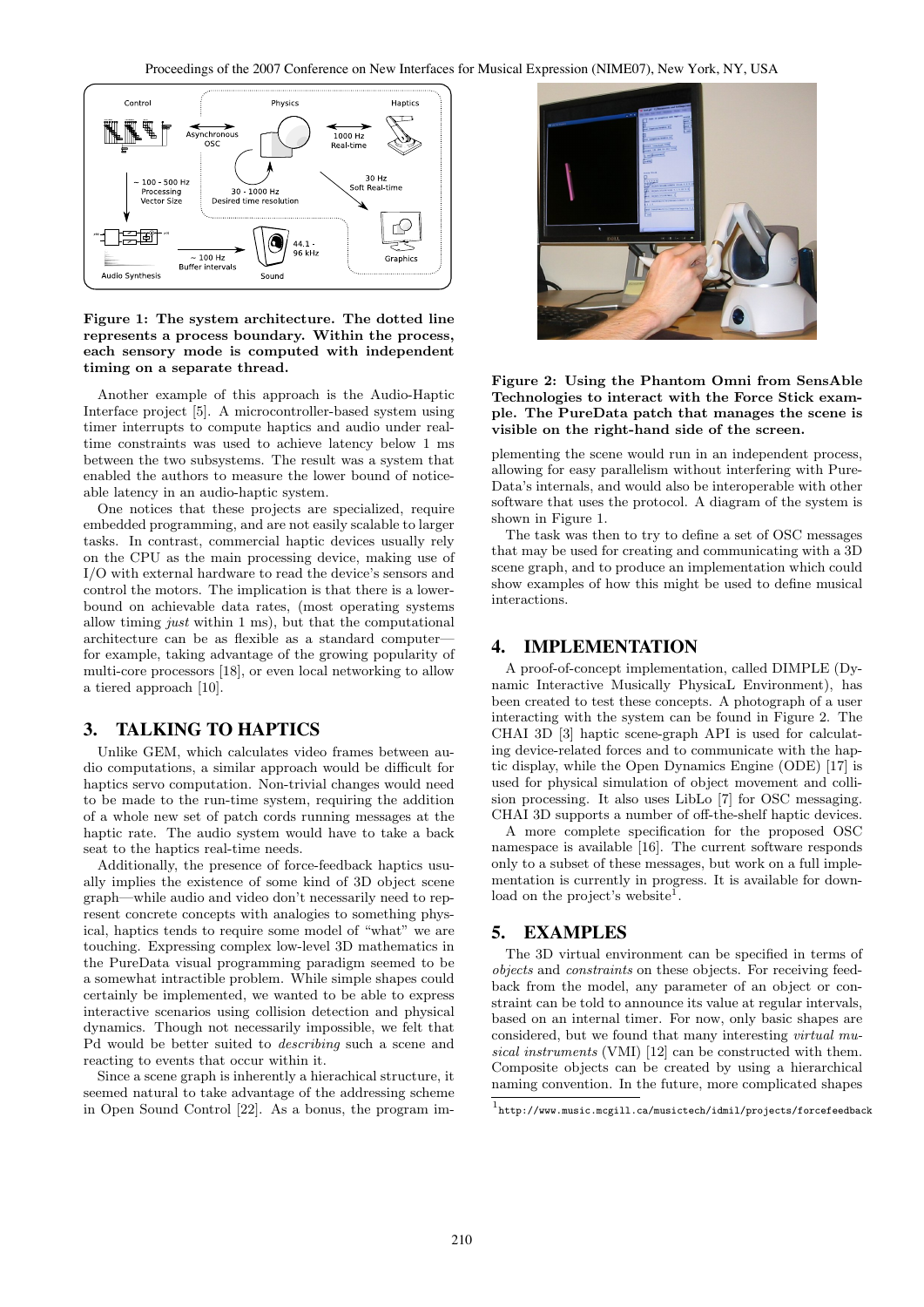

Figure 1: The system architecture. The dotted line represents a process boundary. Within the process, each sensory mode is computed with independent timing on a separate thread.

Another example of this approach is the Audio-Haptic Interface project [5]. A microcontroller-based system using timer interrupts to compute haptics and audio under realtime constraints was used to achieve latency below 1 ms between the two subsystems. The result was a system that enabled the authors to measure the lower bound of noticeable latency in an audio-haptic system.

One notices that these projects are specialized, require embedded programming, and are not easily scalable to larger tasks. In contrast, commercial haptic devices usually rely on the CPU as the main processing device, making use of I/O with external hardware to read the device's sensors and control the motors. The implication is that there is a lowerbound on achievable data rates, (most operating systems allow timing just within 1 ms), but that the computational architecture can be as flexible as a standard computer for example, taking advantage of the growing popularity of multi-core processors [18], or even local networking to allow a tiered approach [10].

# 3. TALKING TO HAPTICS

Unlike GEM, which calculates video frames between audio computations, a similar approach would be difficult for haptics servo computation. Non-trivial changes would need to be made to the run-time system, requiring the addition of a whole new set of patch cords running messages at the haptic rate. The audio system would have to take a back seat to the haptics real-time needs.

Additionally, the presence of force-feedback haptics usually implies the existence of some kind of 3D object scene graph—while audio and video don't necessarily need to represent concrete concepts with analogies to something physical, haptics tends to require some model of "what" we are touching. Expressing complex low-level 3D mathematics in the PureData visual programming paradigm seemed to be a somewhat intractible problem. While simple shapes could certainly be implemented, we wanted to be able to express interactive scenarios using collision detection and physical dynamics. Though not necessarily impossible, we felt that Pd would be better suited to describing such a scene and reacting to events that occur within it.

Since a scene graph is inherently a hierachical structure, it seemed natural to take advantage of the addressing scheme in Open Sound Control [22]. As a bonus, the program im-



Figure 2: Using the Phantom Omni from SensAble Technologies to interact with the Force Stick example. The PureData patch that manages the scene is visible on the right-hand side of the screen.

plementing the scene would run in an independent process, allowing for easy parallelism without interfering with Pure-Data's internals, and would also be interoperable with other software that uses the protocol. A diagram of the system is shown in Figure 1.

The task was then to try to define a set of OSC messages that may be used for creating and communicating with a 3D scene graph, and to produce an implementation which could show examples of how this might be used to define musical interactions.

# 4. IMPLEMENTATION

A proof-of-concept implementation, called DIMPLE (Dynamic Interactive Musically PhysicaL Environment), has been created to test these concepts. A photograph of a user interacting with the system can be found in Figure 2. The CHAI 3D [3] haptic scene-graph API is used for calculating device-related forces and to communicate with the haptic display, while the Open Dynamics Engine (ODE) [17] is used for physical simulation of object movement and collision processing. It also uses LibLo [7] for OSC messaging. CHAI 3D supports a number of off-the-shelf haptic devices.

A more complete specification for the proposed OSC namespace is available [16]. The current software responds only to a subset of these messages, but work on a full implementation is currently in progress. It is available for download on the project's website<sup>1</sup>.

## 5. EXAMPLES

The 3D virtual environment can be specified in terms of objects and constraints on these objects. For receiving feedback from the model, any parameter of an object or constraint can be told to announce its value at regular intervals, based on an internal timer. For now, only basic shapes are considered, but we found that many interesting virtual musical instruments (VMI) [12] can be constructed with them. Composite objects can be created by using a hierarchical naming convention. In the future, more complicated shapes

<sup>1</sup> http://www.music.mcgill.ca/musictech/idmil/projects/forcefeedback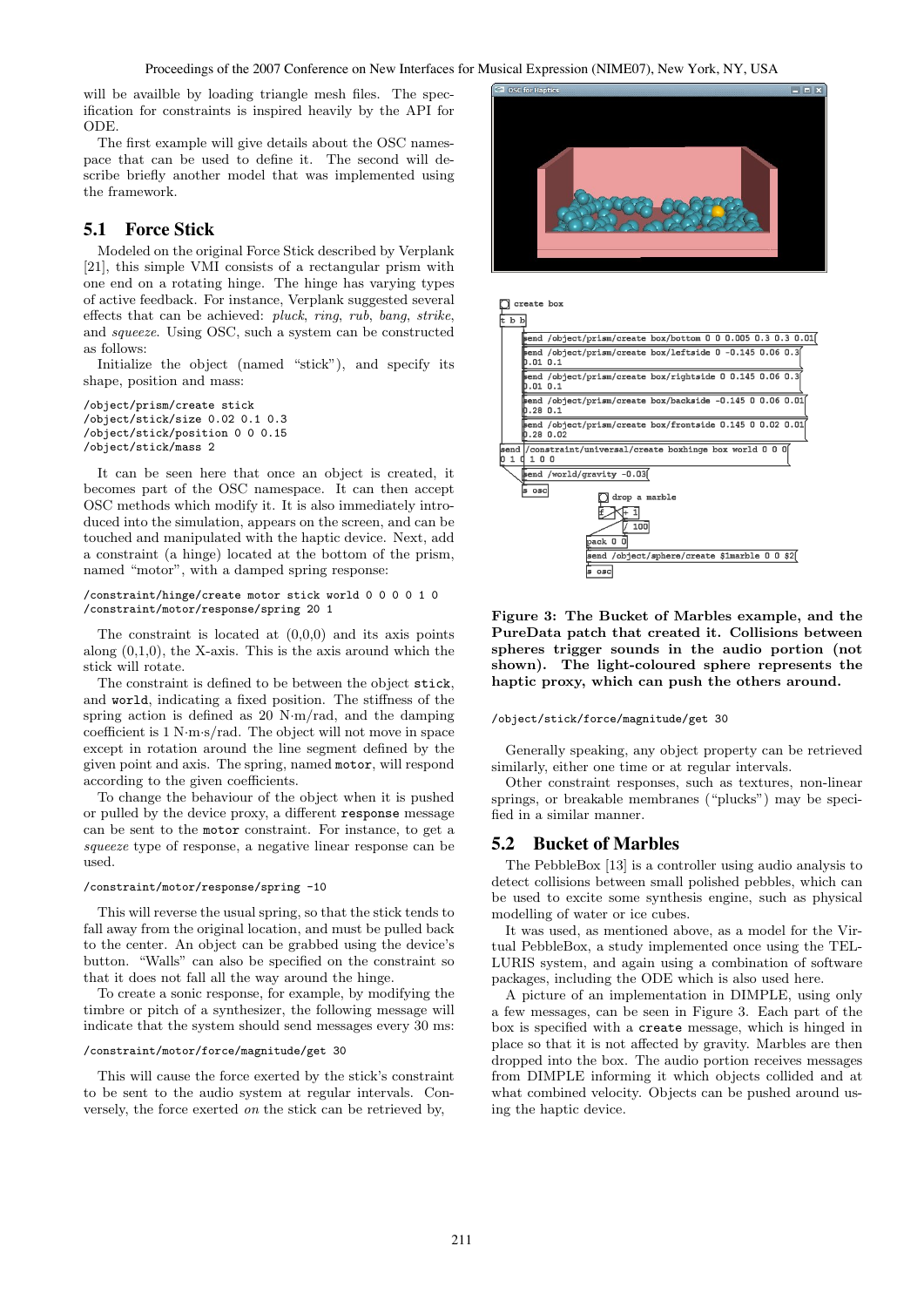will be availble by loading triangle mesh files. The specification for constraints is inspired heavily by the API for ODE.

The first example will give details about the OSC namespace that can be used to define it. The second will describe briefly another model that was implemented using the framework.

#### 5.1 Force Stick

Modeled on the original Force Stick described by Verplank [21], this simple VMI consists of a rectangular prism with one end on a rotating hinge. The hinge has varying types of active feedback. For instance, Verplank suggested several effects that can be achieved: pluck, ring, rub, bang, strike, and squeeze. Using OSC, such a system can be constructed as follows:

Initialize the object (named "stick"), and specify its shape, position and mass:

```
/object/prism/create stick
/object/stick/size 0.02 0.1 0.3
/object/stick/position 0 0 0.15
/object/stick/mass 2
```
It can be seen here that once an object is created, it becomes part of the OSC namespace. It can then accept OSC methods which modify it. It is also immediately introduced into the simulation, appears on the screen, and can be touched and manipulated with the haptic device. Next, add a constraint (a hinge) located at the bottom of the prism, named "motor", with a damped spring response:

```
/constraint/hinge/create motor stick world 0 0 0 0 1 0
/constraint/motor/response/spring 20 1
```
The constraint is located at  $(0,0,0)$  and its axis points along  $(0,1,0)$ , the X-axis. This is the axis around which the stick will rotate.

The constraint is defined to be between the object stick, and world, indicating a fixed position. The stiffness of the spring action is defined as 20 N·m/rad, and the damping coefficient is 1 N·m·s/rad. The object will not move in space except in rotation around the line segment defined by the given point and axis. The spring, named motor, will respond according to the given coefficients.

To change the behaviour of the object when it is pushed or pulled by the device proxy, a different response message can be sent to the motor constraint. For instance, to get a squeeze type of response, a negative linear response can be used.

#### /constraint/motor/response/spring -10

This will reverse the usual spring, so that the stick tends to fall away from the original location, and must be pulled back to the center. An object can be grabbed using the device's button. "Walls" can also be specified on the constraint so that it does not fall all the way around the hinge.

To create a sonic response, for example, by modifying the timbre or pitch of a synthesizer, the following message will indicate that the system should send messages every 30 ms:

#### /constraint/motor/force/magnitude/get 30

This will cause the force exerted by the stick's constraint to be sent to the audio system at regular intervals. Conversely, the force exerted on the stick can be retrieved by,





Figure 3: The Bucket of Marbles example, and the PureData patch that created it. Collisions between spheres trigger sounds in the audio portion (not shown). The light-coloured sphere represents the haptic proxy, which can push the others around.

#### /object/stick/force/magnitude/get 30

Generally speaking, any object property can be retrieved similarly, either one time or at regular intervals.

Other constraint responses, such as textures, non-linear springs, or breakable membranes ("plucks") may be specified in a similar manner.

#### 5.2 Bucket of Marbles

The PebbleBox [13] is a controller using audio analysis to detect collisions between small polished pebbles, which can be used to excite some synthesis engine, such as physical modelling of water or ice cubes.

It was used, as mentioned above, as a model for the Virtual PebbleBox, a study implemented once using the TEL-LURIS system, and again using a combination of software packages, including the ODE which is also used here.

A picture of an implementation in DIMPLE, using only a few messages, can be seen in Figure 3. Each part of the box is specified with a create message, which is hinged in place so that it is not affected by gravity. Marbles are then dropped into the box. The audio portion receives messages from DIMPLE informing it which objects collided and at what combined velocity. Objects can be pushed around using the haptic device.